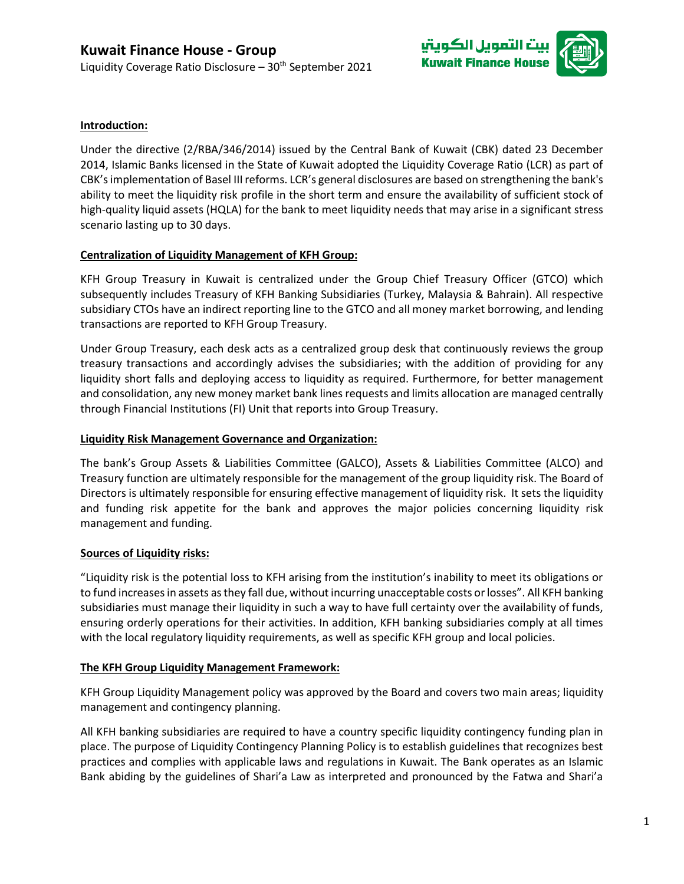

# **Introduction:**

Under the directive (2/RBA/346/2014) issued by the Central Bank of Kuwait (CBK) dated 23 December 2014, Islamic Banks licensed in the State of Kuwait adopted the Liquidity Coverage Ratio (LCR) as part of CBK's implementation of Basel III reforms. LCR's general disclosures are based on strengthening the bank's ability to meet the liquidity risk profile in the short term and ensure the availability of sufficient stock of high-quality liquid assets (HQLA) for the bank to meet liquidity needs that may arise in a significant stress scenario lasting up to 30 days.

## **Centralization of Liquidity Management of KFH Group:**

KFH Group Treasury in Kuwait is centralized under the Group Chief Treasury Officer (GTCO) which subsequently includes Treasury of KFH Banking Subsidiaries (Turkey, Malaysia & Bahrain). All respective subsidiary CTOs have an indirect reporting line to the GTCO and all money market borrowing, and lending transactions are reported to KFH Group Treasury.

Under Group Treasury, each desk acts as a centralized group desk that continuously reviews the group treasury transactions and accordingly advises the subsidiaries; with the addition of providing for any liquidity short falls and deploying access to liquidity as required. Furthermore, for better management and consolidation, any new money market bank lines requests and limits allocation are managed centrally through Financial Institutions (FI) Unit that reports into Group Treasury.

### **Liquidity Risk Management Governance and Organization:**

The bank's Group Assets & Liabilities Committee (GALCO), Assets & Liabilities Committee (ALCO) and Treasury function are ultimately responsible for the management of the group liquidity risk. The Board of Directors is ultimately responsible for ensuring effective management of liquidity risk. It sets the liquidity and funding risk appetite for the bank and approves the major policies concerning liquidity risk management and funding.

#### **Sources of Liquidity risks:**

"Liquidity risk is the potential loss to KFH arising from the institution's inability to meet its obligations or to fund increases in assets as they fall due, without incurring unacceptable costs or losses". All KFH banking subsidiaries must manage their liquidity in such a way to have full certainty over the availability of funds, ensuring orderly operations for their activities. In addition, KFH banking subsidiaries comply at all times with the local regulatory liquidity requirements, as well as specific KFH group and local policies.

#### **The KFH Group Liquidity Management Framework:**

KFH Group Liquidity Management policy was approved by the Board and covers two main areas; liquidity management and contingency planning.

All KFH banking subsidiaries are required to have a country specific liquidity contingency funding plan in place. The purpose of Liquidity Contingency Planning Policy is to establish guidelines that recognizes best practices and complies with applicable laws and regulations in Kuwait. The Bank operates as an Islamic Bank abiding by the guidelines of Shari'a Law as interpreted and pronounced by the Fatwa and Shari'a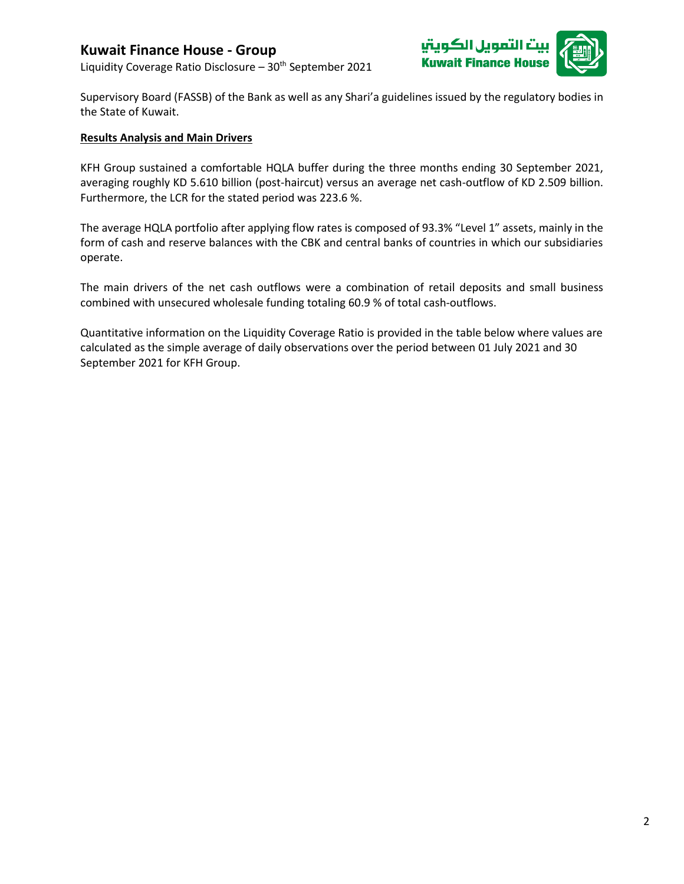# **Kuwait Finance House - Group**

Liquidity Coverage Ratio Disclosure - 30<sup>th</sup> September 2021





Supervisory Board (FASSB) of the Bank as well as any Shari'a guidelines issued by the regulatory bodies in the State of Kuwait.

#### **Results Analysis and Main Drivers**

KFH Group sustained a comfortable HQLA buffer during the three months ending 30 September 2021, averaging roughly KD 5.610 billion (post-haircut) versus an average net cash-outflow of KD 2.509 billion. Furthermore, the LCR for the stated period was 223.6 %.

The average HQLA portfolio after applying flow rates is composed of 93.3% "Level 1" assets, mainly in the form of cash and reserve balances with the CBK and central banks of countries in which our subsidiaries operate.

The main drivers of the net cash outflows were a combination of retail deposits and small business combined with unsecured wholesale funding totaling 60.9 % of total cash-outflows.

Quantitative information on the Liquidity Coverage Ratio is provided in the table below where values are calculated as the simple average of daily observations over the period between 01 July 2021 and 30 September 2021 for KFH Group.